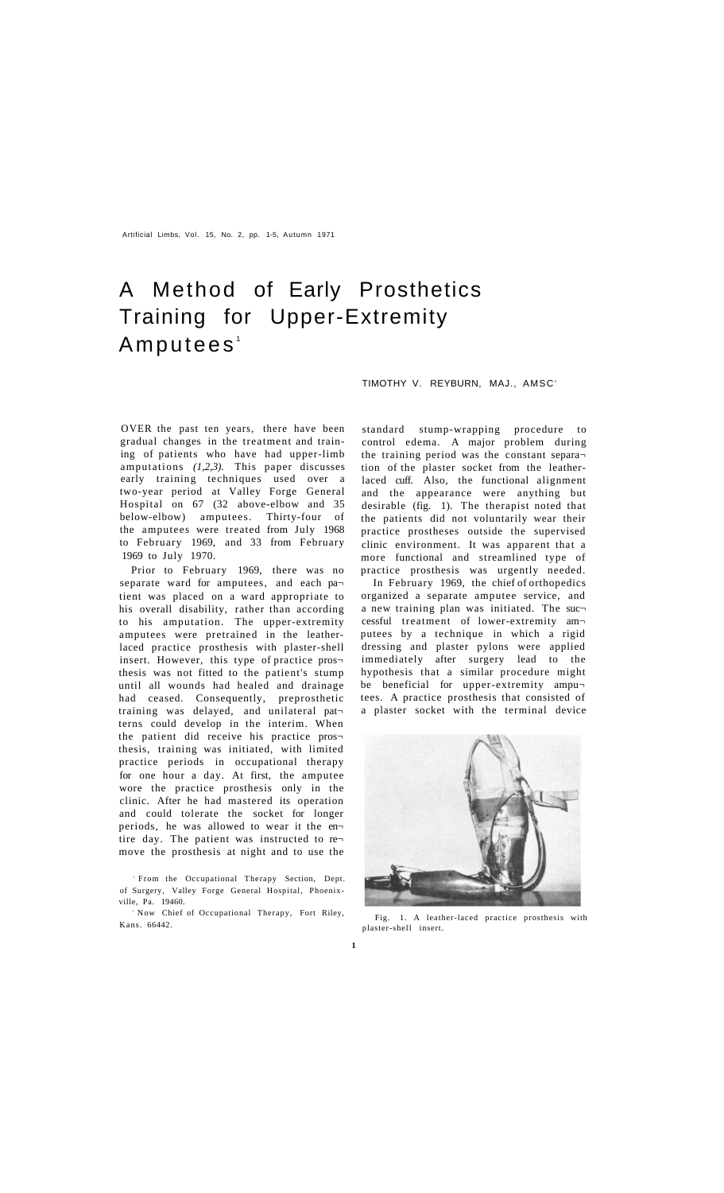Artificial Limbs, Vol. 15, No. 2, pp. 1-5, Autumn 1971

# A Method of Early Prosthetics Training for Upper-Extremity Amputees<sup>1</sup>

TIMOTHY V. REYBURN, MAJ., AMSC<sup>2</sup>

OVER the past ten years, there have been gradual changes in the treatment and training of patients who have had upper-limb amputations (1,2,3). This paper discusses early training techniques used over a two-year period at Valley Forge General Hospital on 67 (32 above-elbow and 35 below-elbow) amputees. Thirty-four of the amputees were treated from July 1968 to February 1969, and 33 from February 1969 to July 1970.

Prior to February 1969, there was no separate ward for amputees, and each pa tient was placed on a ward appropriate to his overall disability, rather than according to his amputation. The upper-extremity amputees were pretrained in the leatherlaced practice prosthesis with plaster-shell insert. However, this type of practice pros thesis was not fitted to the patient's stump until all wounds had healed and drainage had ceased. Consequently, preprosthetic training was delayed, and unilateral pat terns could develop in the interim. When the patient did receive his practice pros thesis, training was initiated, with limited practice periods in occupational therapy for one hour a day. At first, the amputee wore the practice prosthesis only in the clinic. After he had mastered its operation and could tolerate the socket for longer periods, he was allowed to wear it the en tire day. The patient was instructed to re move the prosthesis at night and to use the

 From the Occupational Therapy Section, Dept. of Surgery, Valley Forge General Hospital, Phoenixville, Pa. 19460.

<sup>2</sup> Now Chief of Occupational Therapy, Fort Riley, Kans. 66442.

standard stump-wrapping procedure to control edema. A major problem during the training period was the constant separa tion of the plaster socket from the leatherlaced cuff. Also, the functional alignment and the appearance were anything but desirable (fig. 1). The therapist noted that the patients did not voluntarily wear their practice prostheses outside the supervised clinic environment. It was apparent that a more functional and streamlined type of practice prosthesis was urgently needed.

In February 1969, the chief of orthopedics organized a separate amputee service, and a new training plan was initiated. The suc cessful treatment of lower-extremity am putees by a technique in which a rigid dressing and plaster pylons were applied immediately after surgery lead to the hypothesis that a similar procedure might be beneficial for upper-extremity ampu tees. A practice prosthesis that consisted of a plaster socket with the terminal device



Fig. 1. A leather-laced practice prosthesis with plaster-shell insert.

**1**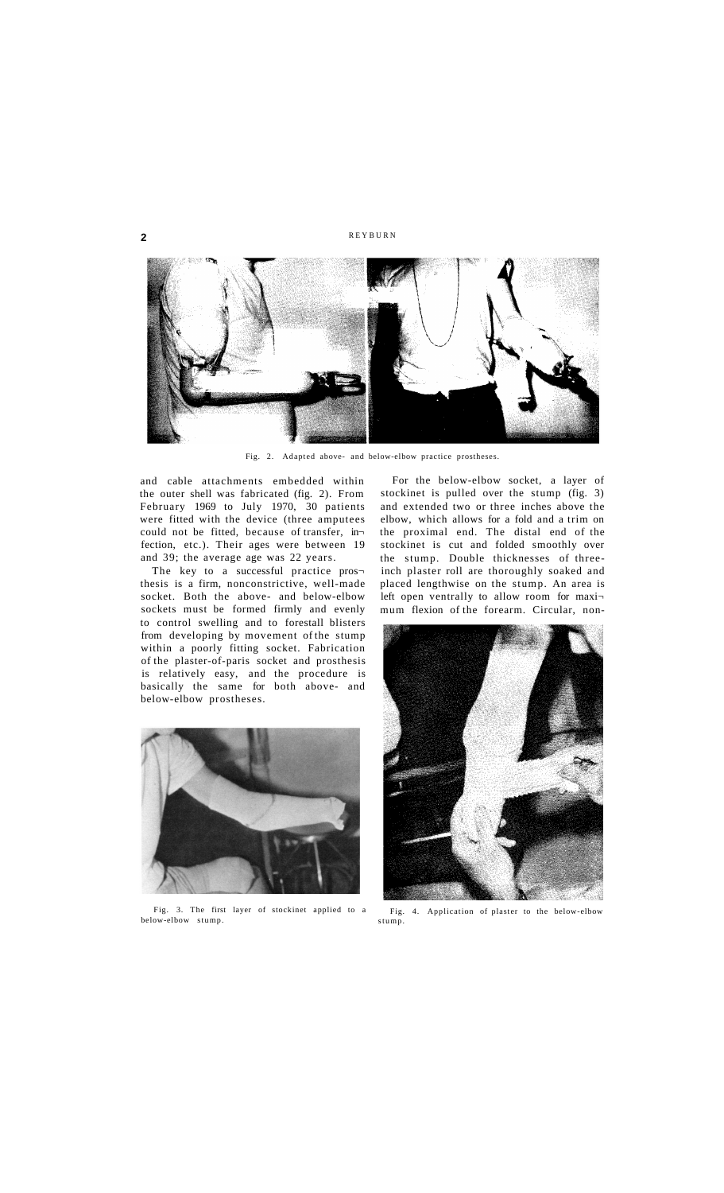## **2 REYBURN**



Fig. 2. Adapted above- and below-elbow practice prostheses.

and cable attachments embedded within the outer shell was fabricated (fig. 2). From February 1969 to July 1970, 30 patients were fitted with the device (three amputees could not be fitted, because of transfer, in fection, etc.). Their ages were between 19 and 39; the average age was 22 years.

The key to a successful practice prosthesis is a firm, nonconstrictive, well-made socket. Both the above- and below-elbow sockets must be formed firmly and evenly to control swelling and to forestall blisters from developing by movement of the stump within a poorly fitting socket. Fabrication of the plaster-of-paris socket and prosthesis is relatively easy, and the procedure is basically the same for both above- and below-elbow prostheses.



Fig. 3. The first layer of stockinet applied to a below-elbow stump.

For the below-elbow socket, a layer of stockinet is pulled over the stump (fig. 3) and extended two or three inches above the elbow, which allows for a fold and a trim on the proximal end. The distal end of the stockinet is cut and folded smoothly over the stump. Double thicknesses of threeinch plaster roll are thoroughly soaked and placed lengthwise on the stump. An area is left open ventrally to allow room for maximum flexion of the forearm. Circular, non-



Fig. 4. Application of plaster to the below-elbow stump.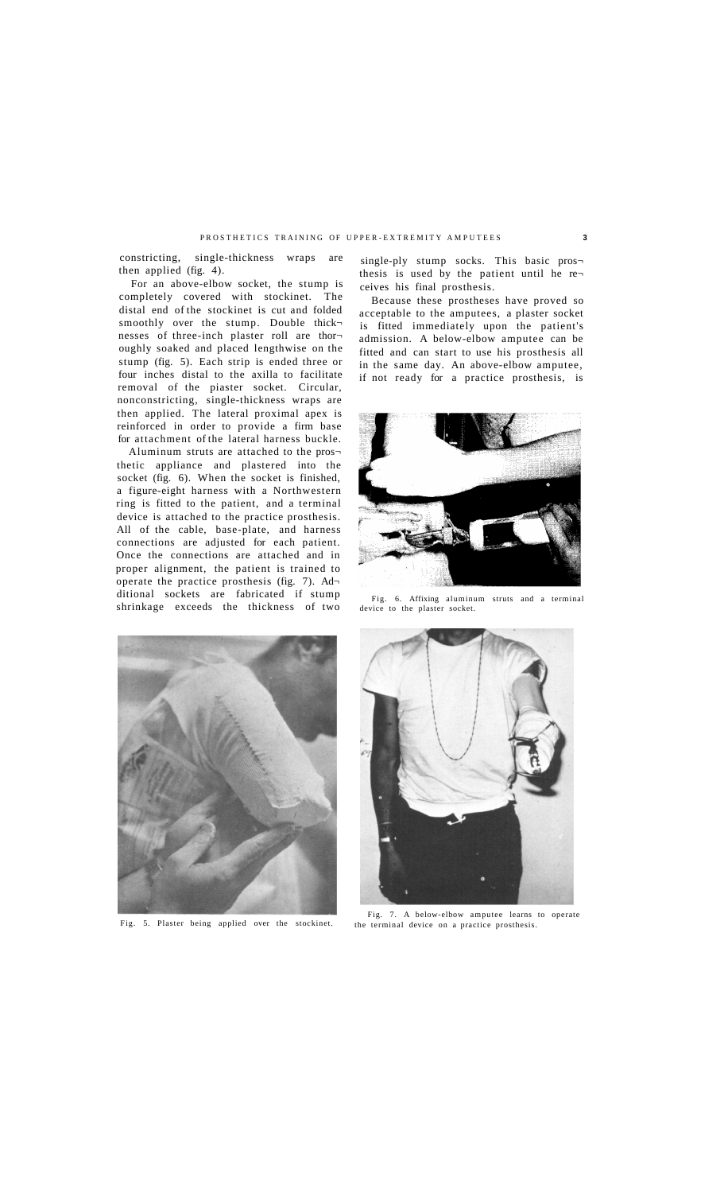### PROSTHETICS TRAINING OF UPPER-EXTREMITY AMPUTEES 3

constricting, single-thickness wraps are then applied (fig. 4).

For an above-elbow socket, the stump is completely covered with stockinet. The distal end of the stockinet is cut and folded smoothly over the stump. Double thicknesses of three-inch plaster roll are thor oughly soaked and placed lengthwise on the stump (fig. 5). Each strip is ended three or four inches distal to the axilla to facilitate removal of the piaster socket. Circular, nonconstricting, single-thickness wraps are then applied. The lateral proximal apex is reinforced in order to provide a firm base for attachment of the lateral harness buckle.

Aluminum struts are attached to the pros thetic appliance and plastered into the socket (fig. 6). When the socket is finished, a figure-eight harness with a Northwestern ring is fitted to the patient, and a terminal device is attached to the practice prosthesis. All of the cable, base-plate, and harness connections are adjusted for each patient. Once the connections are attached and in proper alignment, the patient is trained to operate the practice prosthesis (fig. 7). Ad ditional sockets are fabricated if stump shrinkage exceeds the thickness of two

single-ply stump socks. This basic prosthesis is used by the patient until he re ceives his final prosthesis.

Because these prostheses have proved so acceptable to the amputees, a plaster socket is fitted immediately upon the patient's admission. A below-elbow amputee can be fitted and can start to use his prosthesis all in the same day. An above-elbow amputee, if not ready for a practice prosthesis, is



Fig. 6. Affixing aluminum struts and a terminal device to the plaster socket.



Fig. 5. Plaster being applied over the stockinet.



Fig. 7. A below-elbow amputee learns to operate the terminal device on a practice prosthesis.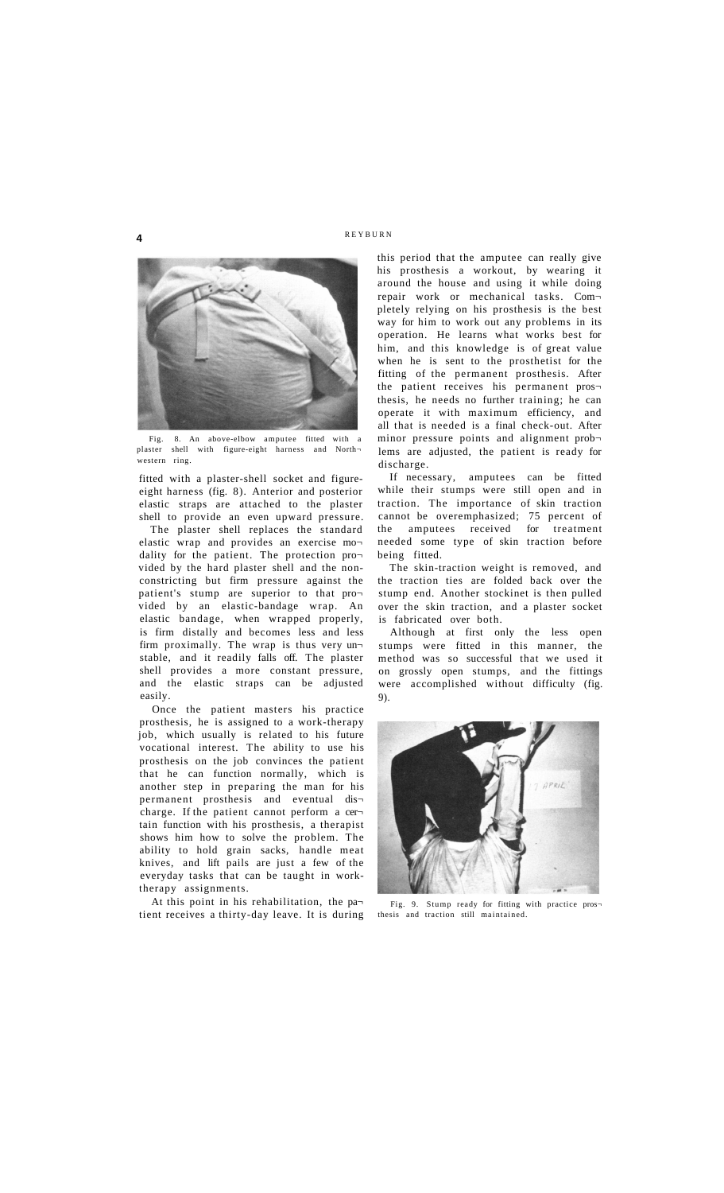## **4 REYBURN**



Fig. 8. An above-elbow amputee fitted with a plaster shell with figure-eight harness and Northvestern ring.

fitted with a plaster-shell socket and figureeight harness (fig. 8). Anterior and posterior elastic straps are attached to the plaster shell to provide an even upward pressure.

The plaster shell replaces the standard elastic wrap and provides an exercise mo dality for the patient. The protection pro vided by the hard plaster shell and the nonconstricting but firm pressure against the patient's stump are superior to that pro vided by an elastic-bandage wrap. An elastic bandage, when wrapped properly, is firm distally and becomes less and less firm proximally. The wrap is thus very un stable, and it readily falls off. The plaster shell provides a more constant pressure, and the elastic straps can be adjusted easily.

Once the patient masters his practice prosthesis, he is assigned to a work-therapy job, which usually is related to his future vocational interest. The ability to use his prosthesis on the job convinces the patient that he can function normally, which is another step in preparing the man for his permanent prosthesis and eventual dis charge. If the patient cannot perform a cer tain function with his prosthesis, a therapist shows him how to solve the problem. The ability to hold grain sacks, handle meat knives, and lift pails are just a few of the everyday tasks that can be taught in worktherapy assignments.

At this point in his rehabilitation, the pa tient receives a thirty-day leave. It is during this period that the amputee can really give his prosthesis a workout, by wearing it around the house and using it while doing repair work or mechanical tasks. Com pletely relying on his prosthesis is the best way for him to work out any problems in its operation. He learns what works best for him, and this knowledge is of great value when he is sent to the prosthetist for the fitting of the permanent prosthesis. After the patient receives his permanent pros thesis, he needs no further training; he can operate it with maximum efficiency, and all that is needed is a final check-out. After minor pressure points and alignment prob lems are adjusted, the patient is ready for discharge.

If necessary, amputees can be fitted while their stumps were still open and in traction. The importance of skin traction cannot be overemphasized; 75 percent of the amputees received for treatment needed some type of skin traction before being fitted.

The skin-traction weight is removed, and the traction ties are folded back over the stump end. Another stockinet is then pulled over the skin traction, and a plaster socket is fabricated over both.

Although at first only the less open stumps were fitted in this manner, the method was so successful that we used it on grossly open stumps, and the fittings were accomplished without difficulty (fig. 9).



Fig. 9. Stump ready for fitting with practice pros thesis and traction still maintained.